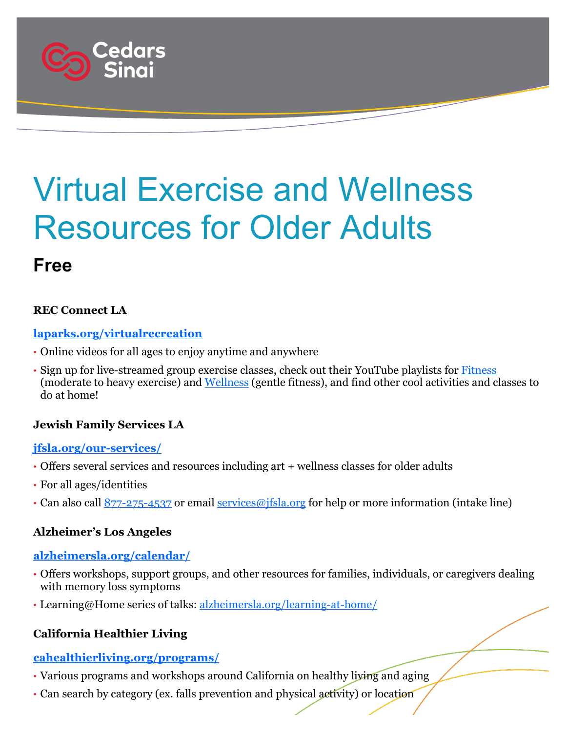

# Virtual Exercise and Wellness Resources for Older Adults

### **Free**

#### **REC Connect LA**

#### **[laparks.org/virtualrecreation](https://www.laparks.org/virtualrecreation)**

- Online videos for all ages to enjoy anytime and anywhere
- Sign up for live-streamed group exercise classes, check out their YouTube playlists for [Fitness](https://www.youtube.com/playlist?list=PL762INx7tUBwjOPrCi-qjUlU-aWfRvYjL) (moderate to heavy exercise) and [Wellness](https://www.youtube.com/playlist?list=PL762INx7tUBw4IId4ih2C7zNwUxV2bM-p) (gentle fitness), and find other cool activities and classes to do at home!

#### **Jewish Family Services LA**

#### **[jfsla.org/our-services/](https://www.jfsla.org/our-services/)**

- Offers several services and resources including art + wellness classes for older adults
- For all ages/identities
- Can also call  $877 275 4537$  or email [services@jfsla.org](mailto:services@jfsla.org) for help or more information (intake line)

#### **Alzheimer's Los Angeles**

#### **[alzheimersla.org/calendar/](https://www.alzheimersla.org/calendar/)**

- Offers workshops, support groups, and other resources for families, individuals, or caregivers dealing with memory loss symptoms
- Learning@Home series of talks: [alzheimersla.org/learning-at-home/](https://www.alzheimersla.org/learning-at-home/)

#### **California Healthier Living**

#### **[cahealthierliving.org/programs/](https://www.cahealthierliving.org/programs/)**

- Various programs and workshops around California on healthy living and aging
- Can search by category (ex. falls prevention and physical activity) or location